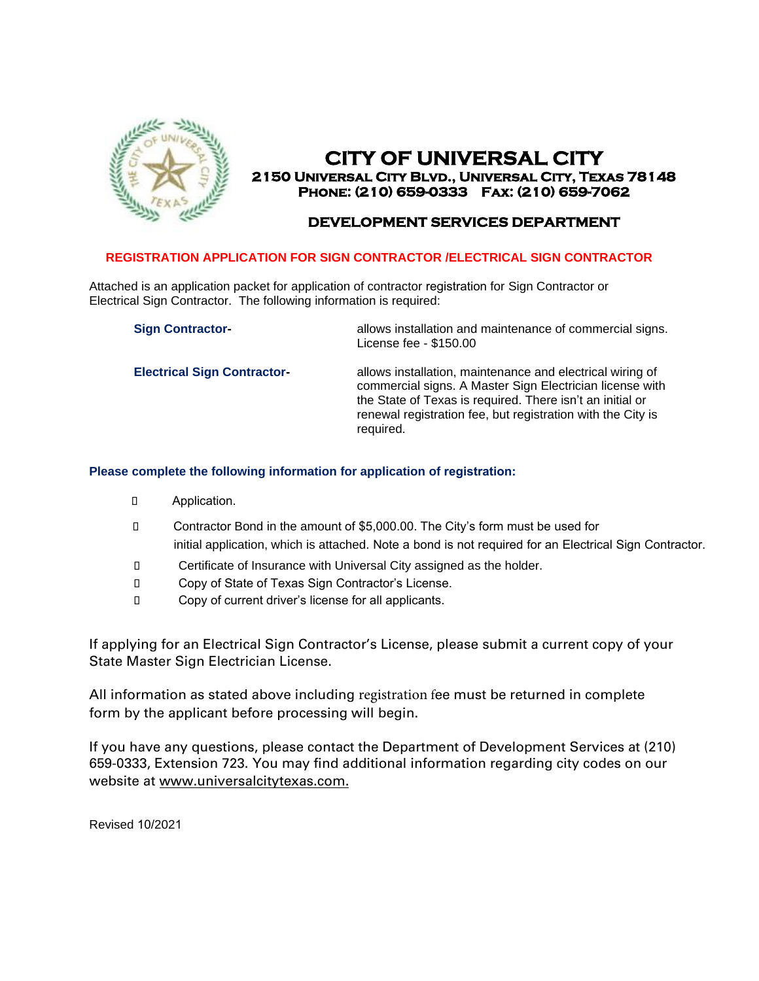

# **CITY OF UNIVERSAL CITY 2150 Universal City Blvd., Universal City, Texas 78148 Phone: (210) 659-0333 Fax: (210) 659-7062**

# **DEVELOPMENT SERVICES DEPARTMENT**

## **REGISTRATION APPLICATION FOR SIGN CONTRACTOR /ELECTRICAL SIGN CONTRACTOR**

Attached is an application packet for application of contractor registration for Sign Contractor or Electrical Sign Contractor. The following information is required:

| <b>Sign Contractor-</b>            | allows installation and maintenance of commercial signs.<br>License fee - \$150.00                                                                                                                                                                             |
|------------------------------------|----------------------------------------------------------------------------------------------------------------------------------------------------------------------------------------------------------------------------------------------------------------|
| <b>Electrical Sign Contractor-</b> | allows installation, maintenance and electrical wiring of<br>commercial signs. A Master Sign Electrician license with<br>the State of Texas is required. There isn't an initial or<br>renewal registration fee, but registration with the City is<br>required. |

#### **Please complete the following information for application of registration:**

- Application.
- Contractor Bond in the amount of \$5,000.00. The City's form must be used for initial application, which is attached. Note a bond is not required for an Electrical Sign Contractor.
- Certificate of Insurance with Universal City assigned as the holder.
- Copy of State of Texas Sign Contractor's License.
- Copy of current driver's license for all applicants.

If applying for an Electrical Sign Contractor's License, please submit a current copy of your State Master Sign Electrician License.

All information as stated above including registration fee must be returned in complete form by the applicant before processing will begin.

If you have any questions, please contact the Department of Development Services at (210) 659-0333, Extension 723. You may find additional information regarding city codes on our website at www.universalcitytexas.com.

Revised 10/2021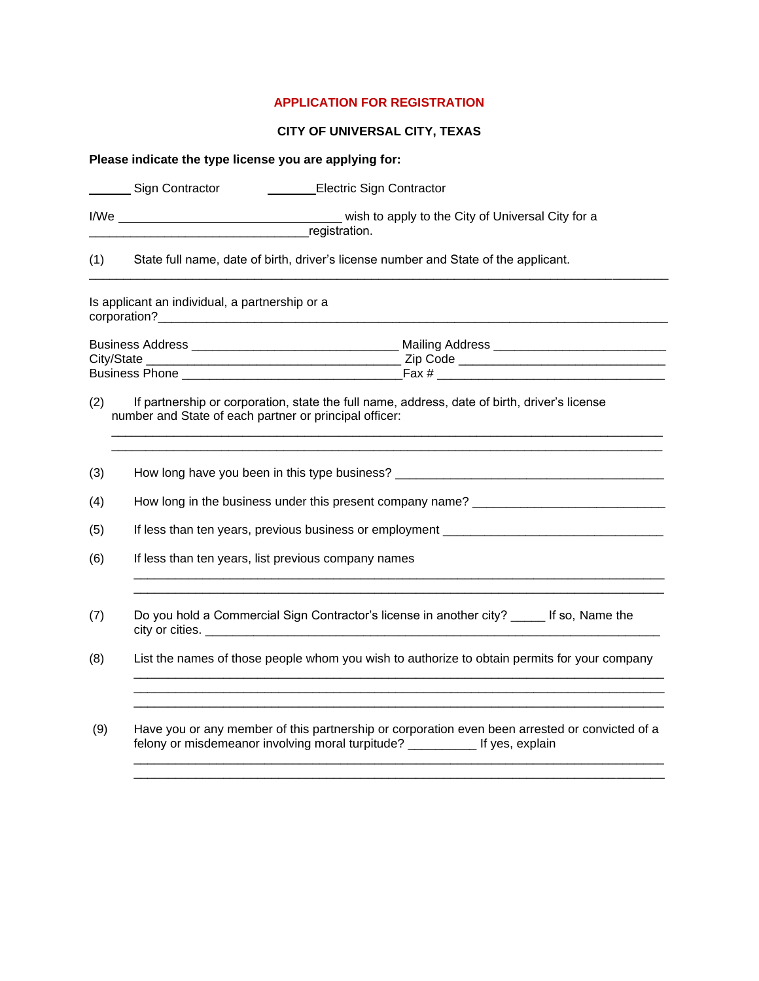#### **APPLICATION FOR REGISTRATION**

## **CITY OF UNIVERSAL CITY, TEXAS**

|     | Please indicate the type license you are applying for:                                                                                                                                                                               |
|-----|--------------------------------------------------------------------------------------------------------------------------------------------------------------------------------------------------------------------------------------|
|     | Sign Contractor<br>Electric Sign Contractor                                                                                                                                                                                          |
|     | registration.                                                                                                                                                                                                                        |
| (1) | State full name, date of birth, driver's license number and State of the applicant.                                                                                                                                                  |
|     | Is applicant an individual, a partnership or a                                                                                                                                                                                       |
|     |                                                                                                                                                                                                                                      |
|     |                                                                                                                                                                                                                                      |
|     |                                                                                                                                                                                                                                      |
| (2) | If partnership or corporation, state the full name, address, date of birth, driver's license<br>number and State of each partner or principal officer:                                                                               |
| (3) | How long have you been in this type business? __________________________________                                                                                                                                                     |
| (4) | How long in the business under this present company name? _______________________                                                                                                                                                    |
| (5) | If less than ten years, previous business or employment <b>container the contract of the control of the control of the control of the control of the control of the control of the control of the control of the control of the </b> |
| (6) | If less than ten years, list previous company names                                                                                                                                                                                  |
| (7) | Do you hold a Commercial Sign Contractor's license in another city? ______ If so, Name the                                                                                                                                           |
| (8) | List the names of those people whom you wish to authorize to obtain permits for your company<br><u> 1989 - Johann Stoff, deutscher Stoff, der Stoff, der Stoff, der Stoff, der Stoff, der Stoff, der Stoff, der S</u>                |
| (9) | Have you or any member of this partnership or corporation even been arrested or convicted of a<br>felony or misdemeanor involving moral turpitude? ___________ If yes, explain                                                       |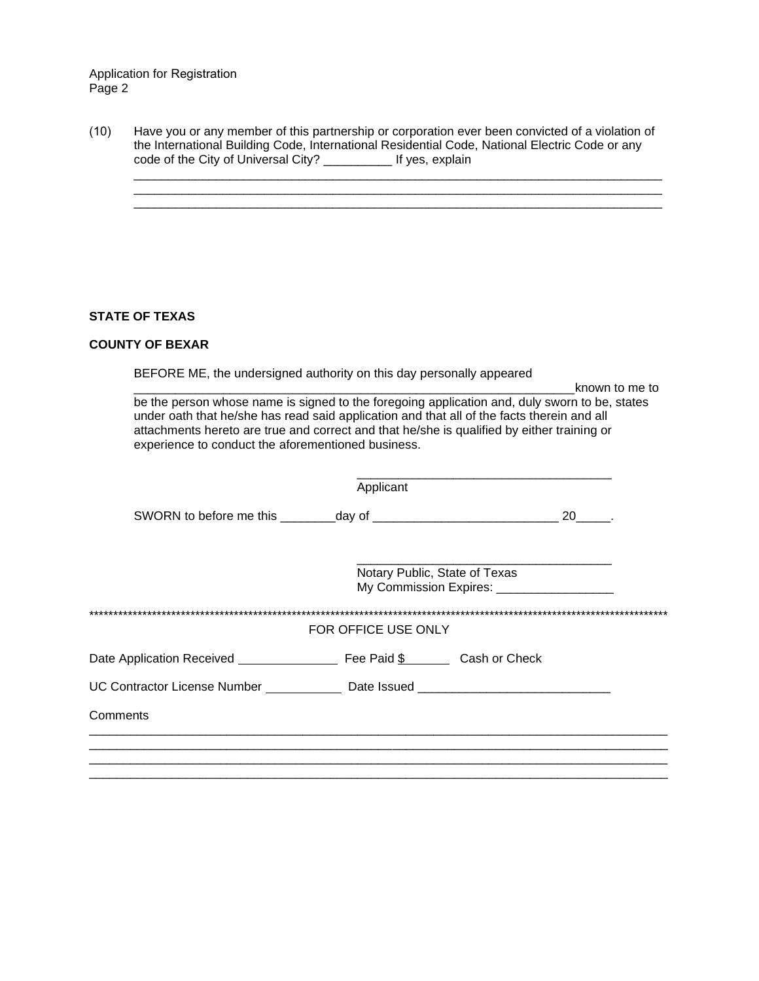Application for Registration Page 2

| (10) |                                     | Have you or any member of this partnership or corporation ever been convicted of a violation of |
|------|-------------------------------------|-------------------------------------------------------------------------------------------------|
|      |                                     | the International Building Code, International Residential Code, National Electric Code or any  |
|      | code of the City of Universal City? | If yes, explain                                                                                 |

\_\_\_\_\_\_\_\_\_\_\_\_\_\_\_\_\_\_\_\_\_\_\_\_\_\_\_\_\_\_\_\_\_\_\_\_\_\_\_\_\_\_\_\_\_\_\_\_\_\_\_\_\_\_\_\_\_\_\_\_\_\_\_\_\_\_\_\_\_\_\_\_\_\_\_\_\_ \_\_\_\_\_\_\_\_\_\_\_\_\_\_\_\_\_\_\_\_\_\_\_\_\_\_\_\_\_\_\_\_\_\_\_\_\_\_\_\_\_\_\_\_\_\_\_\_\_\_\_\_\_\_\_\_\_\_\_\_\_\_\_\_\_\_\_\_\_\_\_\_\_\_\_\_\_ \_\_\_\_\_\_\_\_\_\_\_\_\_\_\_\_\_\_\_\_\_\_\_\_\_\_\_\_\_\_\_\_\_\_\_\_\_\_\_\_\_\_\_\_\_\_\_\_\_\_\_\_\_\_\_\_\_\_\_\_\_\_\_\_\_\_\_\_\_\_\_\_\_\_\_\_\_

## **STATE OF TEXAS**

#### **COUNTY OF BEXAR**

BEFORE ME, the undersigned authority on this day personally appeared

\_\_\_\_\_\_\_\_\_\_\_\_\_\_\_\_\_\_\_\_\_\_\_\_\_\_\_\_\_\_\_\_\_\_\_\_\_\_\_\_\_\_\_\_\_\_\_\_\_\_\_\_\_\_\_\_\_\_\_\_\_\_\_\_known to me to be the person whose name is signed to the foregoing application and, duly sworn to be, states under oath that he/she has read said application and that all of the facts therein and all attachments hereto are true and correct and that he/she is qualified by either training or experience to conduct the aforementioned business.

|                                                                                  | Applicant                                                                   |  |      |
|----------------------------------------------------------------------------------|-----------------------------------------------------------------------------|--|------|
|                                                                                  |                                                                             |  | 20 . |
|                                                                                  | Notary Public, State of Texas<br>My Commission Expires: ___________________ |  |      |
|                                                                                  | FOR OFFICE USE ONLY                                                         |  |      |
| Date Application Received <b>Example 2</b> Fee Paid \$ Cash or Check             |                                                                             |  |      |
| UC Contractor License Number ______________ Date Issued ________________________ |                                                                             |  |      |
| Comments                                                                         |                                                                             |  |      |
|                                                                                  |                                                                             |  |      |
|                                                                                  |                                                                             |  |      |